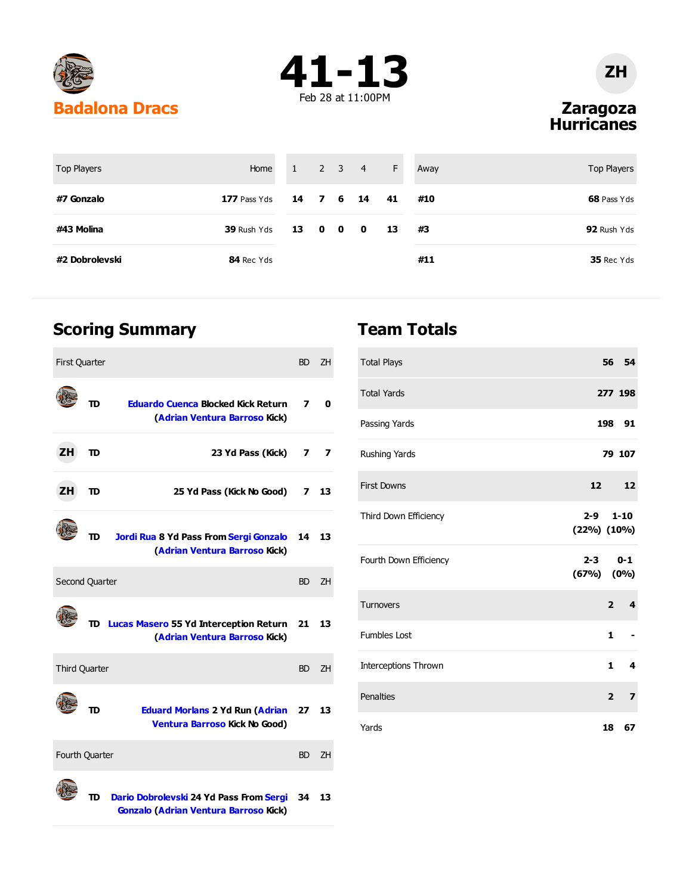





### **Zaragoza Hurricanes**

| <b>Top Players</b> | Home         | $1 \quad 2 \quad 3 \quad 4$ |  | $\sqrt{F}$ | Away | Top Players |
|--------------------|--------------|-----------------------------|--|------------|------|-------------|
| #7 Gonzalo         | 177 Pass Yds | 14 7 6 14                   |  | -41        | #10  | 68 Pass Yds |
| #43 Molina         | 39 Rush Yds  | 13 0 0 0                    |  | 13         | #3   | 92 Rush Yds |
| #2 Dobrolevski     | 84 Rec Yds   |                             |  |            | #11  | 35 Rec Yds  |

## **Scoring Summary**

| <b>First Quarter</b> |    |                                                                                         | <b>BD</b> | ΖH |
|----------------------|----|-----------------------------------------------------------------------------------------|-----------|----|
|                      | סד | <b>Eduardo Cuenca Blocked Kick Return</b><br>(Adrian Ventura Barroso Kick)              | 7         | 0  |
| ZH.                  | TD | 23 Yd Pass (Kick)                                                                       | 7         | 7  |
| ZH I                 | TD | 25 Yd Pass (Kick No Good)                                                               | 7         | 13 |
|                      | סד | Jordi Rua 8 Yd Pass From Sergi Gonzalo<br>(Adrian Ventura Barroso Kick)                 | 14        | 13 |
| Second Quarter       |    |                                                                                         | <b>BD</b> | ΖH |
|                      | TD | Lucas Masero 55 Yd Interception Return<br>(Adrian Ventura Barroso Kick)                 | 21        | 13 |
| <b>Third Quarter</b> |    |                                                                                         | <b>BD</b> | ZΗ |
|                      | סד | <b>Eduard Morlans 2 Yd Run (Adrian</b><br>Ventura Barroso Kick No Good)                 | 27        | 13 |
| Fourth Quarter       |    |                                                                                         | <b>BD</b> | ΖH |
|                      | סד | Dario Dobrolevski 24 Yd Pass From Sergi<br><b>Gonzalo (Adrian Ventura Barroso Kick)</b> | 34        | 13 |

### **Team Totals**

| <b>Total Plays</b>          |                               |                | 56 54          |
|-----------------------------|-------------------------------|----------------|----------------|
| <b>Total Yards</b>          |                               |                | 277 198        |
| Passing Yards               |                               |                | 198 91         |
| Rushing Yards               |                               |                | 79 107         |
| <b>First Downs</b>          |                               | 12             | 12             |
| Third Down Efficiency       | $2 - 9$<br>$(22\%) (10\%)$    |                | $1 - 10$       |
| Fourth Down Efficiency      | $2 - 3$ $0 - 1$<br>(67%) (0%) |                |                |
| Turnovers                   |                               | $2^{\circ}$    | 4              |
| <b>Fumbles Lost</b>         |                               | 1              |                |
| <b>Interceptions Thrown</b> |                               | 1              | 4              |
| Penalties                   |                               | $\overline{2}$ | $\overline{z}$ |
| Yards                       |                               | 18             | 67             |

**ZH**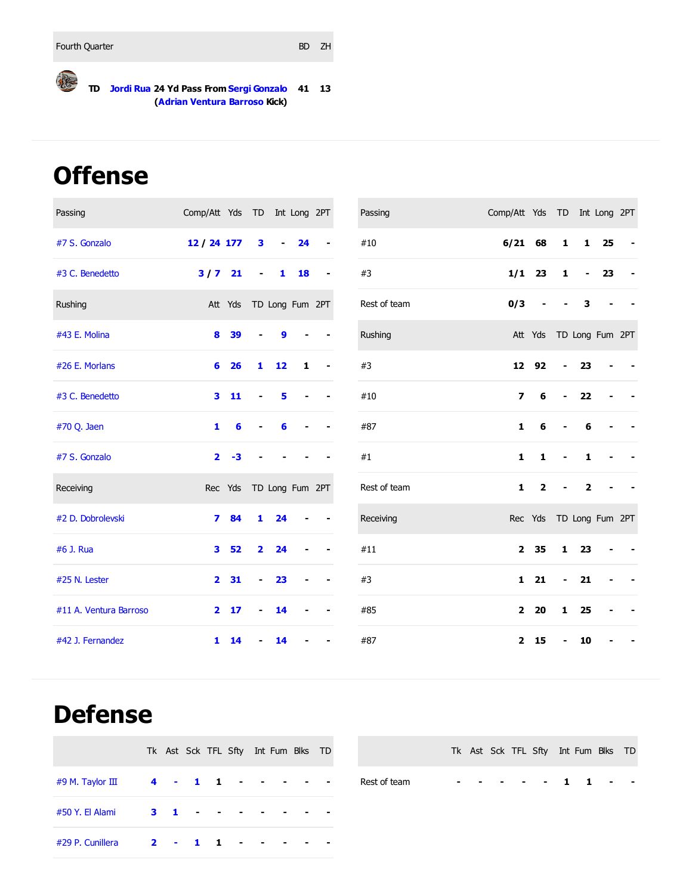#### Fourth Quarter BD ZH

**REA TD Jordi Rua 24 Yd Pass FromSergi Gonzalo 41 13 (Adrian Ventura Barroso Kick)**

## **Offense**

| Passing                | Comp/Att Yds TD Int Long 2PT |                         |                          |                |    |                              | Passing      | Comp/Att Yds TD Int Long 2PT |                         |                          |                          |                 |  |
|------------------------|------------------------------|-------------------------|--------------------------|----------------|----|------------------------------|--------------|------------------------------|-------------------------|--------------------------|--------------------------|-----------------|--|
| #7 S. Gonzalo          | 12 / 24 177                  |                         | 3                        | $\blacksquare$ | 24 | $\overline{\phantom{a}}$     | $\#10$       | $6/21$ 68                    |                         | $\mathbf 1$              | $\mathbf{1}$             | 25              |  |
| #3 C. Benedetto        | $3/7$ 21                     |                         | $\overline{\phantom{a}}$ | 1              | 18 | $\qquad \qquad \blacksquare$ | #3           | 1/1                          | 23                      | $\mathbf{1}$             | $\overline{\phantom{0}}$ | 23              |  |
| Rushing                |                              | Att Yds TD Long Fum 2PT |                          |                |    |                              | Rest of team | 0/3                          |                         |                          | 3                        |                 |  |
| #43 E. Molina          | 8                            | 39                      |                          | 9              |    |                              | Rushing      |                              | Att Yds                 |                          |                          | TD Long Fum 2PT |  |
| #26 E. Morlans         | 6                            | 26                      | $\mathbf{1}$             | 12             | 1  |                              | #3           |                              | 12 92                   |                          | 23                       |                 |  |
| #3 C. Benedetto        | 3                            | 11                      | $\overline{\phantom{0}}$ | 5              |    |                              | #10          | $\overline{\phantom{a}}$     | 6                       | $\overline{a}$           | 22                       |                 |  |
| #70 Q. Jaen            | 1                            | 6                       |                          | 6              |    |                              | #87          | 1                            | 6                       |                          | 6                        |                 |  |
| #7 S. Gonzalo          | 2 <sup>1</sup>               | $-3$                    |                          |                |    |                              | #1           | $\mathbf{1}$                 | $\mathbf{1}$            | $\overline{\phantom{a}}$ | $\mathbf{1}$             |                 |  |
| Receiving              |                              | Rec Yds TD Long Fum 2PT |                          |                |    |                              | Rest of team | 1                            | $\overline{\mathbf{2}}$ |                          | $\overline{\mathbf{2}}$  |                 |  |
| #2 D. Dobrolevski      | $\mathbf{z}$                 | 84                      | $\mathbf{1}$             | 24             |    |                              | Receiving    |                              | Rec Yds TD Long Fum 2PT |                          |                          |                 |  |
| #6 J. Rua              | 3                            | 52                      | $\overline{2}$           | 24             |    |                              | #11          | $\overline{2}$               | 35                      | $\mathbf{1}$             | 23                       |                 |  |
| #25 N. Lester          | $\mathbf{2}$                 | 31                      | $\blacksquare$           | 23             |    |                              | #3           | $\mathbf{1}$                 | 21                      | $\blacksquare$           | 21                       |                 |  |
| #11 A. Ventura Barroso | $\overline{\mathbf{2}}$      | 17                      |                          | 14             |    |                              | #85          | $\overline{2}$               | 20                      | $\mathbf{1}$             | 25                       |                 |  |
| #42 J. Fernandez       | $\mathbf{1}$                 | 14                      |                          | 14             |    |                              | #87          | 2                            | 15                      |                          | 10                       |                 |  |

## **Defense**

|                  |  |  | Tk Ast Sck TFL Sfty Int Fum Blks TD                                                                                                                                                                                                                                                                                                                                                                                                                        |  |  |              |  |  | Tk Ast Sck TFL Sfty Int Fum Blks TD |  |  |
|------------------|--|--|------------------------------------------------------------------------------------------------------------------------------------------------------------------------------------------------------------------------------------------------------------------------------------------------------------------------------------------------------------------------------------------------------------------------------------------------------------|--|--|--------------|--|--|-------------------------------------|--|--|
|                  |  |  |                                                                                                                                                                                                                                                                                                                                                                                                                                                            |  |  | Rest of team |  |  |                                     |  |  |
| #50 Y. El Alami  |  |  | $3 \quad 1 \quad 3 \quad 4 \quad 5 \quad 6 \quad 7 \quad 8 \quad 7 \quad 8 \quad 8 \quad 7 \quad 8 \quad 9 \quad 9 \quad 1 \quad 1 \quad 2 \quad 3 \quad 4 \quad 5 \quad 6 \quad 7 \quad 8 \quad 8 \quad 7 \quad 8 \quad 8 \quad 9 \quad 9 \quad 1 \quad 1 \quad 2 \quad 3 \quad 4 \quad 5 \quad 6 \quad 7 \quad 8 \quad 8 \quad 8 \quad 9 \quad 1 \quad 1 \quad 2 \quad 3 \quad 4 \quad 3 \quad 5 \quad 6 \quad 7 \quad 8 \quad 8 \quad 8 \quad 9 \quad $ |  |  |              |  |  |                                     |  |  |
| #29 P. Cunillera |  |  | $2 \cdot 1$ 1 and 1 and 1 and 1 and 1 and 1 and 1 and 1 and 1 and 1 and 1 and 1 and 1 and 1 and 1 and 1 and 1 and 1 and 1 and 1 and 1 and 1 and 1 and 1 and 1 and 1 and 1 and 1 and 1 and 1 and 1 and 1 and 1 and 1 and 1 and 1 a                                                                                                                                                                                                                          |  |  |              |  |  |                                     |  |  |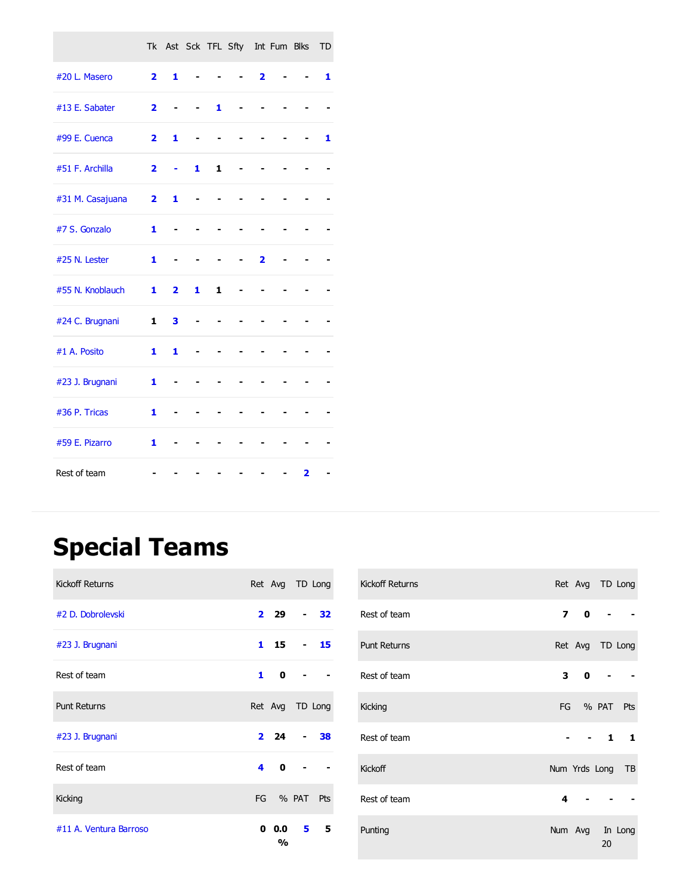|                  |                         |                         |   |              | Tk Ast Sck TFL Sfty Int Fum Blks |                         |                         | TD |
|------------------|-------------------------|-------------------------|---|--------------|----------------------------------|-------------------------|-------------------------|----|
| #20 L. Masero    | $\overline{2}$          | 1                       |   |              |                                  | $\overline{\mathbf{2}}$ |                         | 1  |
| #13 E. Sabater   | $\overline{\mathbf{2}}$ |                         |   | 1            |                                  |                         |                         |    |
| #99 E. Cuenca    | $\overline{2}$          | 1                       |   |              |                                  |                         |                         | 1  |
| #51 F. Archilla  | $\overline{\mathbf{2}}$ | ۰                       | 1 | $\mathbf{1}$ |                                  |                         |                         |    |
| #31 M. Casajuana | $\overline{\mathbf{2}}$ | 1                       |   |              |                                  |                         |                         |    |
| #7 S. Gonzalo    | 1                       |                         |   |              |                                  |                         |                         |    |
| #25 N. Lester    | 1                       |                         |   |              |                                  | $\overline{2}$          |                         |    |
| #55 N. Knoblauch | 1                       | $\overline{\mathbf{2}}$ | 1 | 1            |                                  |                         |                         |    |
| #24 C. Brugnani  | 1                       | 3                       |   |              |                                  |                         |                         |    |
| #1 A. Posito     | 1                       | 1                       |   |              |                                  |                         |                         |    |
| #23 J. Brugnani  | 1                       |                         |   |              |                                  |                         |                         |    |
| #36 P. Tricas    | 1                       |                         |   |              |                                  |                         |                         |    |
| #59 E. Pizarro   | 1                       |                         |   |              |                                  |                         |                         |    |
| Rest of team     |                         |                         |   |              |                                  |                         | $\overline{\mathbf{2}}$ |    |

# **Special Teams**

| <b>Kickoff Returns</b> |                         | Ret Avg TD Long      |         |
|------------------------|-------------------------|----------------------|---------|
| #2 D. Dobrolevski      |                         | $2 \quad 29$         | 32      |
| #23 J. Brugnani        |                         | 1 15                 | - 15    |
| Rest of team           | 1                       | 0                    |         |
| <b>Punt Returns</b>    |                         | Ret Avg TD Long      |         |
| #23 J. Brugnani        |                         | $2 \quad 24$         | 38      |
| Rest of team           | $\overline{\mathbf{4}}$ | 0                    |         |
| Kicking                | FG                      | % PAT Pts            |         |
| #11 A. Ventura Barroso | 0                       | 0.0<br>$\frac{0}{0}$ | 5.<br>5 |

| <b>Kickoff Returns</b> |   | Ret Avg TD Long |        |                  |
|------------------------|---|-----------------|--------|------------------|
| Rest of team           |   | 7 0             |        |                  |
| <b>Punt Returns</b>    |   | Ret Avg TD Long |        |                  |
| Rest of team           |   | 3 0             |        |                  |
| Kicking                |   | FG % PAT Pts    |        |                  |
| Rest of team           |   |                 | $-1$ 1 |                  |
| <b>Kickoff</b>         |   |                 |        | Num Yrds Long TB |
| Rest of team           | 4 |                 |        |                  |
| Punting                |   | Num Avg In Long | 20     |                  |